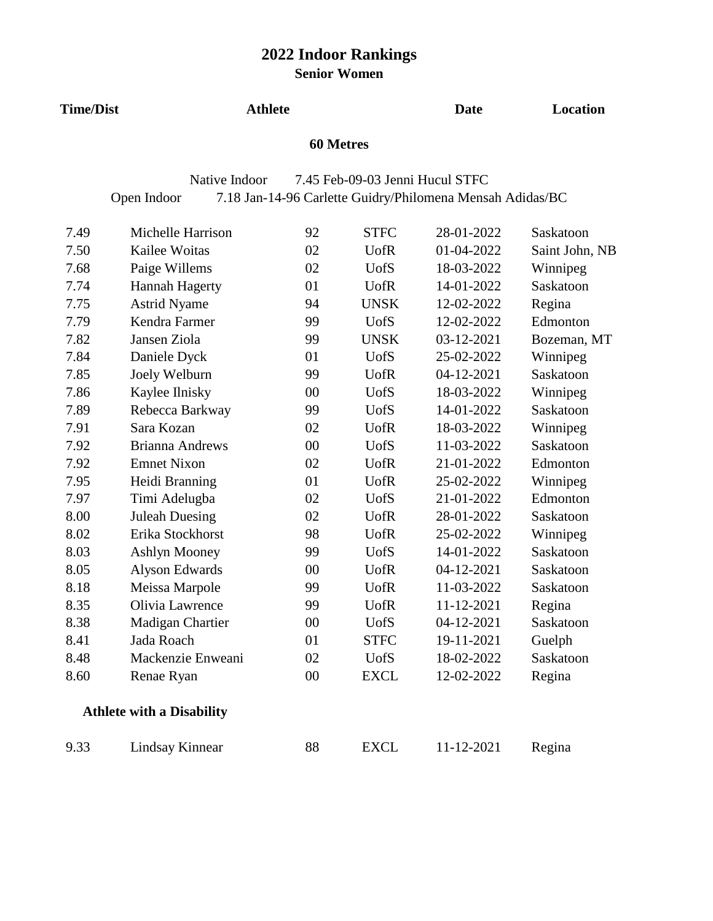**Senior Women**

**Time/Dist Athlete**

**Date Location**

## **60 Metres**

Native Indoor 7.45 Feb-09-03 Jenni Hucul STFC Open Indoor 7.18 Jan-14-96 Carlette Guidry/Philomena Mensah Adidas/BC

| 7.49 | Michelle Harrison                | 92     | <b>STFC</b> | 28-01-2022 | Saskatoon      |
|------|----------------------------------|--------|-------------|------------|----------------|
| 7.50 | Kailee Woitas                    | 02     | <b>UofR</b> | 01-04-2022 | Saint John, NB |
| 7.68 | Paige Willems                    | 02     | <b>UofS</b> | 18-03-2022 | Winnipeg       |
| 7.74 | Hannah Hagerty                   | 01     | <b>UofR</b> | 14-01-2022 | Saskatoon      |
| 7.75 | <b>Astrid Nyame</b>              | 94     | <b>UNSK</b> | 12-02-2022 | Regina         |
| 7.79 | Kendra Farmer                    | 99     | <b>UofS</b> | 12-02-2022 | Edmonton       |
| 7.82 | Jansen Ziola                     | 99     | <b>UNSK</b> | 03-12-2021 | Bozeman, MT    |
| 7.84 | Daniele Dyck                     | 01     | <b>UofS</b> | 25-02-2022 | Winnipeg       |
| 7.85 | Joely Welburn                    | 99     | <b>UofR</b> | 04-12-2021 | Saskatoon      |
| 7.86 | Kaylee Ilnisky                   | $00\,$ | <b>UofS</b> | 18-03-2022 | Winnipeg       |
| 7.89 | Rebecca Barkway                  | 99     | <b>UofS</b> | 14-01-2022 | Saskatoon      |
| 7.91 | Sara Kozan                       | 02     | <b>UofR</b> | 18-03-2022 | Winnipeg       |
| 7.92 | <b>Brianna Andrews</b>           | $00\,$ | <b>UofS</b> | 11-03-2022 | Saskatoon      |
| 7.92 | <b>Emnet Nixon</b>               | 02     | <b>UofR</b> | 21-01-2022 | Edmonton       |
| 7.95 | Heidi Branning                   | 01     | <b>UofR</b> | 25-02-2022 | Winnipeg       |
| 7.97 | Timi Adelugba                    | 02     | <b>UofS</b> | 21-01-2022 | Edmonton       |
| 8.00 | <b>Juleah Duesing</b>            | 02     | <b>UofR</b> | 28-01-2022 | Saskatoon      |
| 8.02 | Erika Stockhorst                 | 98     | <b>UofR</b> | 25-02-2022 | Winnipeg       |
| 8.03 | Ashlyn Mooney                    | 99     | <b>UofS</b> | 14-01-2022 | Saskatoon      |
| 8.05 | Alyson Edwards                   | 00     | <b>UofR</b> | 04-12-2021 | Saskatoon      |
| 8.18 | Meissa Marpole                   | 99     | <b>UofR</b> | 11-03-2022 | Saskatoon      |
| 8.35 | Olivia Lawrence                  | 99     | <b>UofR</b> | 11-12-2021 | Regina         |
| 8.38 | Madigan Chartier                 | $00\,$ | <b>UofS</b> | 04-12-2021 | Saskatoon      |
| 8.41 | Jada Roach                       | 01     | <b>STFC</b> | 19-11-2021 | Guelph         |
| 8.48 | Mackenzie Enweani                | 02     | <b>UofS</b> | 18-02-2022 | Saskatoon      |
| 8.60 | Renae Ryan                       | 00     | <b>EXCL</b> | 12-02-2022 | Regina         |
|      | <b>Athlete with a Disability</b> |        |             |            |                |
| 9.33 | Lindsay Kinnear                  | 88     | <b>EXCL</b> | 11-12-2021 | Regina         |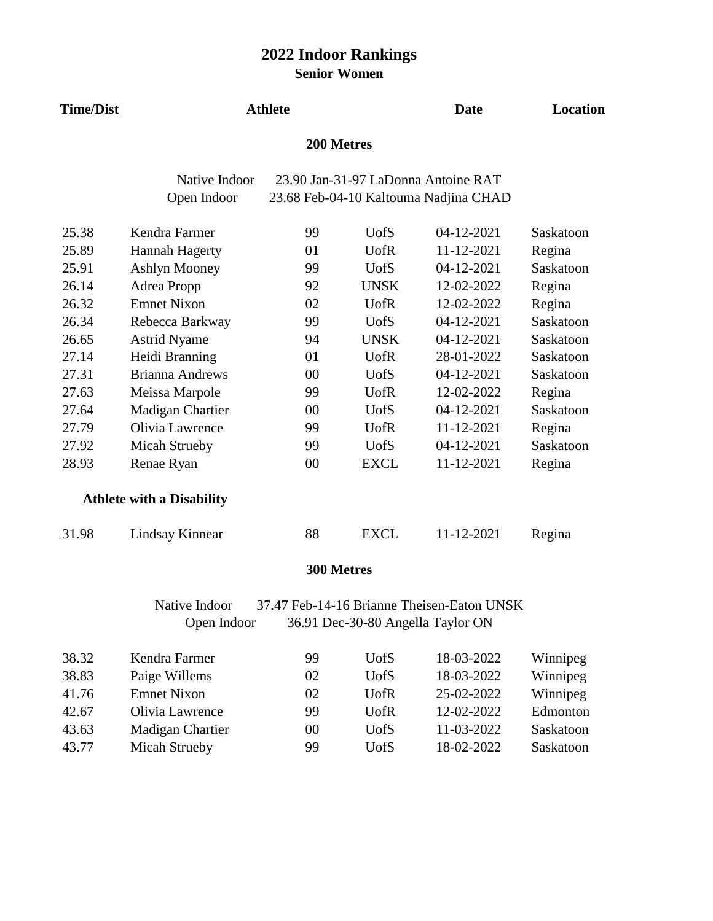**Senior Women**

| <b>Time/Dist</b> |                                  | <b>Athlete</b> |              | <b>Date</b>                           | <b>Location</b> |
|------------------|----------------------------------|----------------|--------------|---------------------------------------|-----------------|
|                  |                                  | 200 Metres     |              |                                       |                 |
|                  | Native Indoor                    |                |              | 23.90 Jan-31-97 LaDonna Antoine RAT   |                 |
|                  | Open Indoor                      |                |              | 23.68 Feb-04-10 Kaltouma Nadjina CHAD |                 |
| 25.38            | Kendra Farmer                    | 99             | <b>U</b> ofS | 04-12-2021                            | Saskatoon       |
| 25.89            | Hannah Hagerty                   | 01             | <b>UofR</b>  | 11-12-2021                            | Regina          |
| 25.91            | <b>Ashlyn Mooney</b>             | 99             | <b>U</b> ofS | 04-12-2021                            | Saskatoon       |
| 26.14            | Adrea Propp                      | 92             | <b>UNSK</b>  | 12-02-2022                            | Regina          |
| 26.32            | <b>Emnet Nixon</b>               | 02             | <b>U</b> ofR | 12-02-2022                            | Regina          |
| 26.34            | Rebecca Barkway                  | 99             | <b>UofS</b>  | 04-12-2021                            | Saskatoon       |
| 26.65            | <b>Astrid Nyame</b>              | 94             | <b>UNSK</b>  | 04-12-2021                            | Saskatoon       |
| 27.14            | Heidi Branning                   | 01             | <b>U</b> ofR | 28-01-2022                            | Saskatoon       |
| 27.31            | <b>Brianna Andrews</b>           | 00             | <b>UofS</b>  | 04-12-2021                            | Saskatoon       |
| 27.63            | Meissa Marpole                   | 99             | <b>UofR</b>  | 12-02-2022                            | Regina          |
| 27.64            | Madigan Chartier                 | 00             | <b>UofS</b>  | 04-12-2021                            | Saskatoon       |
| 27.79            | Olivia Lawrence                  | 99             | <b>UofR</b>  | 11-12-2021                            | Regina          |
| 27.92            | Micah Strueby                    | 99             | <b>UofS</b>  | 04-12-2021                            | Saskatoon       |
| 28.93            | Renae Ryan                       | 00             | <b>EXCL</b>  | 11-12-2021                            | Regina          |
|                  | <b>Athlete with a Disability</b> |                |              |                                       |                 |
| 31.98            | Lindsay Kinnear                  | 88             | <b>EXCL</b>  | 11-12-2021                            | Regina          |
|                  |                                  | 300 Metres     |              |                                       |                 |

Native Indoor 37.47 Feb-14-16 Brianne Theisen-Eaton UNSK

Open Indoor 36.91 Dec-30-80 Angella Taylor ON

| 38.32 | Kendra Farmer      | 99 | U <sub>of</sub> S | 18-03-2022 | Winnipeg  |
|-------|--------------------|----|-------------------|------------|-----------|
| 38.83 | Paige Willems      | 02 | U <sub>of</sub> S | 18-03-2022 | Winnipeg  |
| 41.76 | <b>Emnet Nixon</b> | 02 | <b>U</b> ofR      | 25-02-2022 | Winnipeg  |
| 42.67 | Olivia Lawrence    | 99 | <b>U</b> ofR      | 12-02-2022 | Edmonton  |
| 43.63 | Madigan Chartier   | 00 | <b>U</b> ofS      | 11-03-2022 | Saskatoon |
| 43.77 | Micah Strueby      | 99 | <b>U</b> ofS      | 18-02-2022 | Saskatoon |
|       |                    |    |                   |            |           |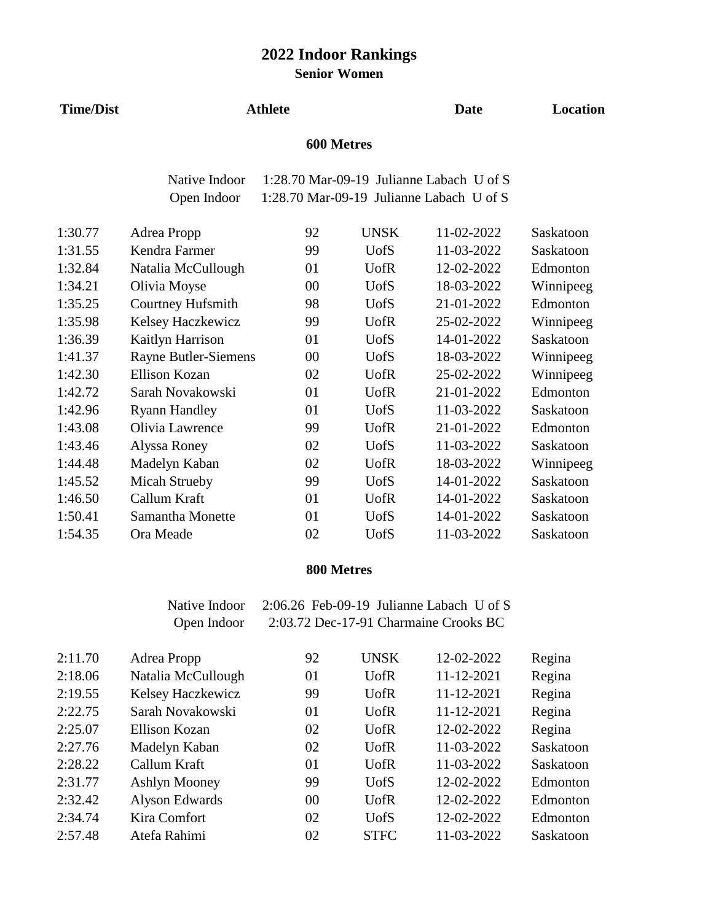**Senior Women**

#### **Time/Dist Athlete**

### **Date Location**

### **600 Metres**

| Native Indoor | 1:28.70 Mar-09-19 Julianne Labach U of S |  |
|---------------|------------------------------------------|--|
| Open Indoor   | 1:28.70 Mar-09-19 Julianne Labach U of S |  |

| 1:30.77 | Adrea Propp                 | 92 | <b>UNSK</b>  | 11-02-2022 | Saskatoon |
|---------|-----------------------------|----|--------------|------------|-----------|
| 1:31.55 | Kendra Farmer               | 99 | <b>UofS</b>  | 11-03-2022 | Saskatoon |
| 1:32.84 | Natalia McCullough          | 01 | <b>U</b> ofR | 12-02-2022 | Edmonton  |
| 1:34.21 | Olivia Moyse                | 00 | <b>UofS</b>  | 18-03-2022 | Winnipeeg |
| 1:35.25 | Courtney Hufsmith           | 98 | <b>UofS</b>  | 21-01-2022 | Edmonton  |
| 1:35.98 | Kelsey Haczkewicz           | 99 | <b>U</b> ofR | 25-02-2022 | Winnipeeg |
| 1:36.39 | Kaitlyn Harrison            | 01 | <b>UofS</b>  | 14-01-2022 | Saskatoon |
| 1:41.37 | <b>Rayne Butler-Siemens</b> | 00 | <b>UofS</b>  | 18-03-2022 | Winnipeeg |
| 1:42.30 | <b>Ellison Kozan</b>        | 02 | <b>U</b> ofR | 25-02-2022 | Winnipeeg |
| 1:42.72 | Sarah Novakowski            | 01 | <b>U</b> ofR | 21-01-2022 | Edmonton  |
| 1:42.96 | <b>Ryann Handley</b>        | 01 | <b>UofS</b>  | 11-03-2022 | Saskatoon |
| 1:43.08 | Olivia Lawrence             | 99 | <b>U</b> ofR | 21-01-2022 | Edmonton  |
| 1:43.46 | Alyssa Roney                | 02 | <b>UofS</b>  | 11-03-2022 | Saskatoon |
| 1:44.48 | Madelyn Kaban               | 02 | <b>U</b> ofR | 18-03-2022 | Winnipeeg |
| 1:45.52 | Micah Strueby               | 99 | <b>UofS</b>  | 14-01-2022 | Saskatoon |
| 1:46.50 | Callum Kraft                | 01 | <b>U</b> ofR | 14-01-2022 | Saskatoon |
| 1:50.41 | Samantha Monette            | 01 | <b>UofS</b>  | 14-01-2022 | Saskatoon |
| 1:54.35 | Ora Meade                   | 02 | <b>UofS</b>  | 11-03-2022 | Saskatoon |

#### **800 Metres**

Native Indoor 2:06.26 Feb-09-19 Julianne Labach U of S Open Indoor 2:03.72 Dec-17-91 Charmaine Crooks BC

| 2:11.70 | Adrea Propp          | 92     | <b>UNSK</b>  | 12-02-2022 | Regina    |
|---------|----------------------|--------|--------------|------------|-----------|
| 2:18.06 | Natalia McCullough   | 01     | <b>U</b> ofR | 11-12-2021 | Regina    |
| 2:19.55 | Kelsey Haczkewicz    | 99     | <b>U</b> ofR | 11-12-2021 | Regina    |
| 2:22.75 | Sarah Novakowski     | 01     | <b>U</b> ofR | 11-12-2021 | Regina    |
| 2:25.07 | <b>Ellison Kozan</b> | 02     | <b>U</b> ofR | 12-02-2022 | Regina    |
| 2:27.76 | Madelyn Kaban        | 02     | <b>U</b> ofR | 11-03-2022 | Saskatoon |
| 2:28.22 | Callum Kraft         | 01     | <b>U</b> ofR | 11-03-2022 | Saskatoon |
| 2:31.77 | <b>Ashlyn Mooney</b> | 99     | <b>UofS</b>  | 12-02-2022 | Edmonton  |
| 2:32.42 | Alyson Edwards       | $00\,$ | <b>U</b> ofR | 12-02-2022 | Edmonton  |
| 2:34.74 | Kira Comfort         | 02     | <b>UofS</b>  | 12-02-2022 | Edmonton  |
| 2:57.48 | Atefa Rahimi         | 02     | <b>STFC</b>  | 11-03-2022 | Saskatoon |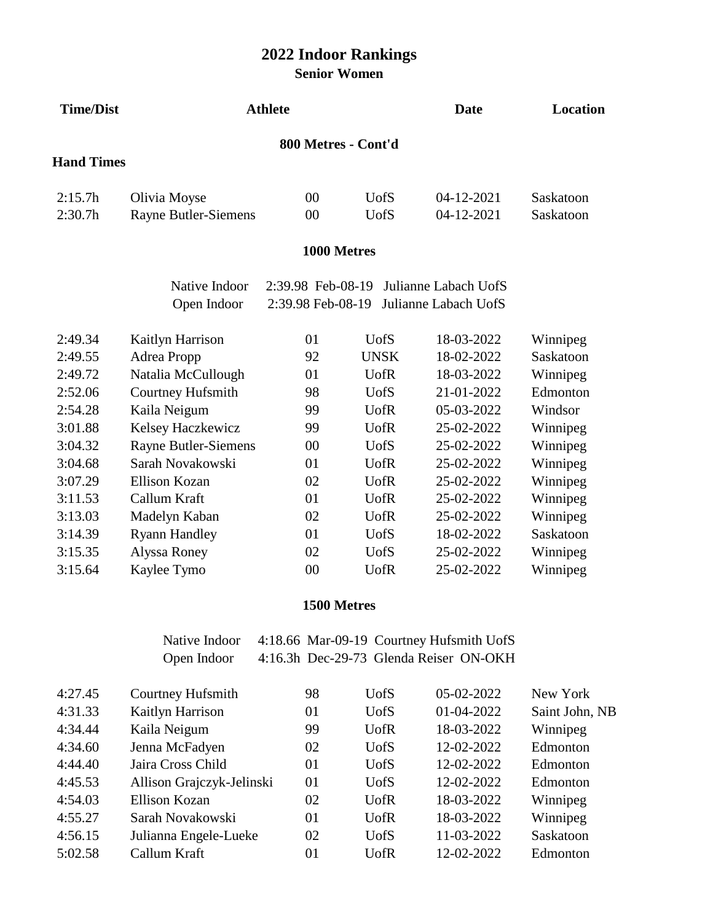**Senior Women**

| <b>Time/Dist</b>  | <b>Athlete</b>              |                     |             | <b>Date</b>          | Location  |
|-------------------|-----------------------------|---------------------|-------------|----------------------|-----------|
|                   |                             | 800 Metres - Cont'd |             |                      |           |
| <b>Hand Times</b> |                             |                     |             |                      |           |
| 2:15.7h           | Olivia Moyse                | 00                  | <b>UofS</b> | 04-12-2021           | Saskatoon |
| 2:30.7h           | <b>Rayne Butler-Siemens</b> | $00\,$              | <b>UofS</b> | 04-12-2021           | Saskatoon |
|                   |                             | 1000 Metres         |             |                      |           |
|                   | Native Indoor               | 2:39.98 Feb-08-19   |             | Julianne Labach UofS |           |
|                   | Open Indoor                 | 2:39.98 Feb-08-19   |             | Julianne Labach UofS |           |
| 2:49.34           | Kaitlyn Harrison            | 01                  | <b>UofS</b> | 18-03-2022           | Winnipeg  |
| 2:49.55           | Adrea Propp                 | 92                  | <b>UNSK</b> | 18-02-2022           | Saskatoon |
| 2:49.72           | Natalia McCullough          | 01                  | <b>UofR</b> | 18-03-2022           | Winnipeg  |
| 2:52.06           | Courtney Hufsmith           | 98                  | <b>UofS</b> | 21-01-2022           | Edmonton  |
| 2:54.28           | Kaila Neigum                | 99                  | <b>UofR</b> | 05-03-2022           | Windsor   |
| 3:01.88           | Kelsey Haczkewicz           | 99                  | <b>UofR</b> | 25-02-2022           | Winnipeg  |
| 3:04.32           | <b>Rayne Butler-Siemens</b> | $00\,$              | <b>UofS</b> | 25-02-2022           | Winnipeg  |
| 3:04.68           | Sarah Novakowski            | 01                  | <b>UofR</b> | 25-02-2022           | Winnipeg  |
| 3:07.29           | <b>Ellison Kozan</b>        | 02                  | <b>UofR</b> | 25-02-2022           | Winnipeg  |
| 3:11.53           | Callum Kraft                | 01                  | <b>UofR</b> | 25-02-2022           | Winnipeg  |
| 3:13.03           | Madelyn Kaban               | 02                  | <b>UofR</b> | 25-02-2022           | Winnipeg  |
| 3:14.39           | <b>Ryann Handley</b>        | 01                  | <b>UofS</b> | 18-02-2022           | Saskatoon |
| 3:15.35           | Alyssa Roney                | 02                  | <b>UofS</b> | 25-02-2022           | Winnipeg  |
| 3:15.64           | Kaylee Tymo                 | $00\,$              | <b>UofR</b> | 25-02-2022           | Winnipeg  |

### **1500 Metres**

Native Indoor 4:18.66 Mar-09-19 Courtney Hufsmith UofS Open Indoor 4:16.3h Dec-29-73 Glenda Reiser ON-OKH

| 4:27.45 | Courtney Hufsmith         | 98 | <b>UofS</b>  | 05-02-2022 | New York       |
|---------|---------------------------|----|--------------|------------|----------------|
| 4:31.33 | Kaitlyn Harrison          | 01 | <b>UofS</b>  | 01-04-2022 | Saint John, NB |
| 4:34.44 | Kaila Neigum              | 99 | <b>U</b> ofR | 18-03-2022 | Winnipeg       |
| 4:34.60 | Jenna McFadyen            | 02 | <b>UofS</b>  | 12-02-2022 | Edmonton       |
| 4:44.40 | Jaira Cross Child         | 01 | <b>UofS</b>  | 12-02-2022 | Edmonton       |
| 4:45.53 | Allison Grajczyk-Jelinski | 01 | <b>UofS</b>  | 12-02-2022 | Edmonton       |
| 4:54.03 | Ellison Kozan             | 02 | <b>U</b> ofR | 18-03-2022 | Winnipeg       |
| 4:55.27 | Sarah Novakowski          | 01 | <b>U</b> ofR | 18-03-2022 | Winnipeg       |
| 4:56.15 | Julianna Engele-Lueke     | 02 | <b>UofS</b>  | 11-03-2022 | Saskatoon      |
| 5:02.58 | Callum Kraft              | 01 | <b>U</b> ofR | 12-02-2022 | Edmonton       |
|         |                           |    |              |            |                |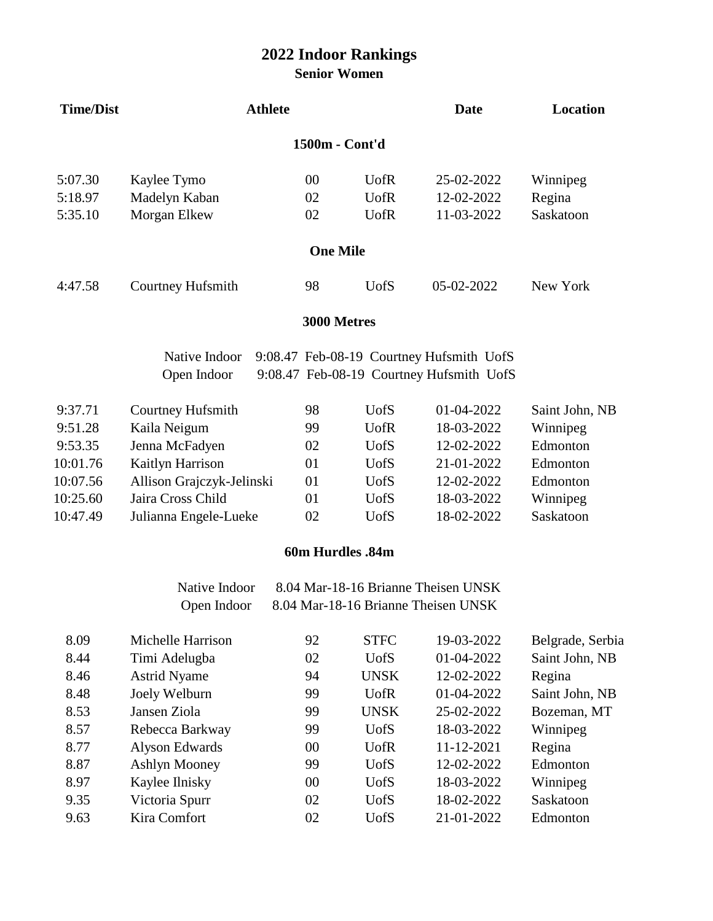**Senior Women**

| <b>Time/Dist</b>              |                                              | <b>Athlete</b> |                  |                                           | <b>Date</b>                                                                          | <b>Location</b>                 |
|-------------------------------|----------------------------------------------|----------------|------------------|-------------------------------------------|--------------------------------------------------------------------------------------|---------------------------------|
|                               |                                              |                | 1500m - Cont'd   |                                           |                                                                                      |                                 |
| 5:07.30<br>5:18.97<br>5:35.10 | Kaylee Tymo<br>Madelyn Kaban<br>Morgan Elkew |                | 00<br>02<br>02   | <b>UofR</b><br><b>UofR</b><br><b>UofR</b> | 25-02-2022<br>12-02-2022<br>11-03-2022                                               | Winnipeg<br>Regina<br>Saskatoon |
|                               |                                              |                | <b>One Mile</b>  |                                           |                                                                                      |                                 |
|                               |                                              |                |                  |                                           |                                                                                      |                                 |
| 4:47.58                       | Courtney Hufsmith                            |                | 98               | <b>UofS</b>                               | 05-02-2022                                                                           | New York                        |
|                               |                                              |                | 3000 Metres      |                                           |                                                                                      |                                 |
|                               | Native Indoor<br>Open Indoor                 |                |                  |                                           | 9:08.47 Feb-08-19 Courtney Hufsmith UofS<br>9:08.47 Feb-08-19 Courtney Hufsmith UofS |                                 |
| 9:37.71                       | Courtney Hufsmith                            |                | 98               | <b>UofS</b>                               | 01-04-2022                                                                           | Saint John, NB                  |
| 9:51.28                       | Kaila Neigum                                 |                | 99               | <b>UofR</b>                               | 18-03-2022                                                                           | Winnipeg                        |
| 9:53.35                       | Jenna McFadyen                               |                | 02               | <b>UofS</b>                               | 12-02-2022                                                                           | Edmonton                        |
| 10:01.76                      | Kaitlyn Harrison                             |                | 01               | <b>UofS</b>                               | 21-01-2022                                                                           | Edmonton                        |
| 10:07.56                      | Allison Grajczyk-Jelinski                    |                | 01               | <b>UofS</b>                               | 12-02-2022                                                                           | Edmonton                        |
| 10:25.60                      | Jaira Cross Child                            |                | 01               | <b>UofS</b>                               | 18-03-2022                                                                           | Winnipeg                        |
| 10:47.49                      | Julianna Engele-Lueke                        |                | 02               | <b>UofS</b>                               | 18-02-2022                                                                           | Saskatoon                       |
|                               |                                              |                | 60m Hurdles .84m |                                           |                                                                                      |                                 |
|                               | Native Indoor<br>Open Indoor                 |                |                  |                                           | 8.04 Mar-18-16 Brianne Theisen UNSK<br>8.04 Mar-18-16 Brianne Theisen UNSK           |                                 |
| 8.09                          | Michelle Harrison                            |                | 92               | <b>STFC</b>                               | 19-03-2022                                                                           | Belgrade, Serbia                |
| 8.44                          | Timi Adelugba                                |                | 02               | <b>UofS</b>                               | 01-04-2022                                                                           | Saint John, NB                  |
| 8.46                          | <b>Astrid Nyame</b>                          |                | 94               | <b>UNSK</b>                               | 12-02-2022                                                                           | Regina                          |
| 8.48                          | Joely Welburn                                |                | 99               | <b>UofR</b>                               | 01-04-2022                                                                           | Saint John, NB                  |
| 8.53                          | Jansen Ziola                                 |                | 99               | <b>UNSK</b>                               | 25-02-2022                                                                           | Bozeman, MT                     |

| 0.40 | JOCLY WEIDUILL       | לר | <b>UUIN</b>  | <u> UI-U4-ZUZZ</u> | Баши јоши, ј |
|------|----------------------|----|--------------|--------------------|--------------|
| 8.53 | Jansen Ziola         | 99 | <b>UNSK</b>  | 25-02-2022         | Bozeman, M   |
| 8.57 | Rebecca Barkway      | 99 | <b>U</b> ofS | 18-03-2022         | Winnipeg     |
| 8.77 | Alyson Edwards       | 00 | <b>U</b> ofR | 11-12-2021         | Regina       |
| 8.87 | <b>Ashlyn Mooney</b> | 99 | <b>U</b> ofS | 12-02-2022         | Edmonton     |
| 8.97 | Kaylee Ilnisky       | 00 | UofS         | 18-03-2022         | Winnipeg     |
| 9.35 | Victoria Spurr       | 02 | UofS         | 18-02-2022         | Saskatoon    |
| 9.63 | Kira Comfort         | 02 | UofS         | 21-01-2022         | Edmonton     |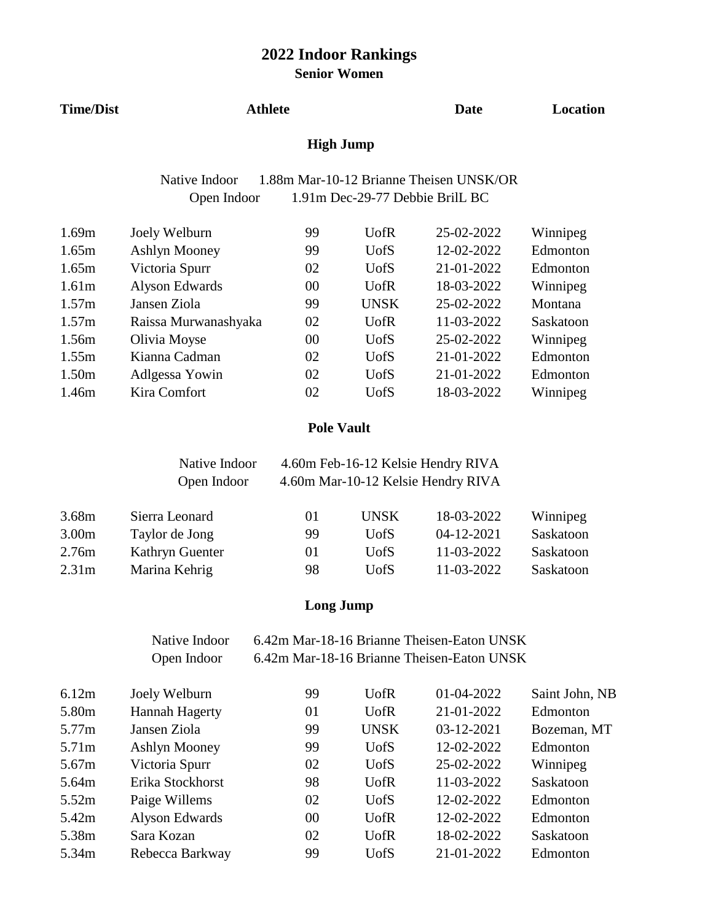**Senior Women**

**Time/Dist Athlete**

**Date Location**

## **High Jump**

Native Indoor 1.88m Mar-10-12 Brianne Theisen UNSK/OR Open Indoor 1.91m Dec-29-77 Debbie BrilL BC

| 1.69m             | Joely Welburn         | 99 | <b>U</b> ofR | 25-02-2022 | Winnipeg  |
|-------------------|-----------------------|----|--------------|------------|-----------|
| 1.65m             | <b>Ashlyn Mooney</b>  | 99 | <b>U</b> ofS | 12-02-2022 | Edmonton  |
| 1.65m             | Victoria Spurr        | 02 | <b>U</b> ofS | 21-01-2022 | Edmonton  |
| 1.61 <sub>m</sub> | <b>Alyson Edwards</b> | 00 | <b>U</b> ofR | 18-03-2022 | Winnipeg  |
| 1.57m             | Jansen Ziola          | 99 | <b>UNSK</b>  | 25-02-2022 | Montana   |
| 1.57m             | Raissa Murwanashyaka  | 02 | <b>U</b> ofR | 11-03-2022 | Saskatoon |
| 1.56m             | Olivia Moyse          | 00 | <b>U</b> ofS | 25-02-2022 | Winnipeg  |
| 1.55m             | Kianna Cadman         | 02 | <b>UofS</b>  | 21-01-2022 | Edmonton  |
| 1.50 <sub>m</sub> | Adlgessa Yowin        | 02 | <b>UofS</b>  | 21-01-2022 | Edmonton  |
| 1.46m             | Kira Comfort          | 02 | <b>UofS</b>  | 18-03-2022 | Winnipeg  |
|                   |                       |    |              |            |           |

## **Pole Vault**

| Native Indoor | 4.60m Feb-16-12 Kelsie Hendry RIVA |
|---------------|------------------------------------|
| Open Indoor   | 4.60m Mar-10-12 Kelsie Hendry RIVA |

| 3.68m             | Sierra Leonard         | 01      | UNSK. | 18-03-2022 | Winnipeg  |
|-------------------|------------------------|---------|-------|------------|-----------|
| 3.00 <sub>m</sub> | Taylor de Jong         | 99      | UofS  | 04-12-2021 | Saskatoon |
| 2.76m             | <b>Kathryn Guenter</b> | $_{01}$ | UofS. | 11-03-2022 | Saskatoon |
| 2.31 <sub>m</sub> | Marina Kehrig          | 98      | UofS  | 11-03-2022 | Saskatoon |

## **Long Jump**

| Native Indoor | 6.42m Mar-18-16 Brianne Theisen-Eaton UNSK |
|---------------|--------------------------------------------|
| Open Indoor   | 6.42m Mar-18-16 Brianne Theisen-Eaton UNSK |

| 6.12m             | Joely Welburn         | 99     | <b>U</b> ofR | 01-04-2022 | Saint John, NB |
|-------------------|-----------------------|--------|--------------|------------|----------------|
| 5.80 <sub>m</sub> | <b>Hannah Hagerty</b> | 01     | <b>U</b> ofR | 21-01-2022 | Edmonton       |
| 5.77m             | Jansen Ziola          | 99     | <b>UNSK</b>  | 03-12-2021 | Bozeman, MT    |
| 5.71m             | <b>Ashlyn Mooney</b>  | 99     | <b>UofS</b>  | 12-02-2022 | Edmonton       |
| 5.67m             | Victoria Spurr        | 02     | <b>UofS</b>  | 25-02-2022 | Winnipeg       |
| 5.64m             | Erika Stockhorst      | 98     | <b>UofR</b>  | 11-03-2022 | Saskatoon      |
| 5.52m             | Paige Willems         | 02     | <b>U</b> ofS | 12-02-2022 | Edmonton       |
| 5.42m             | Alyson Edwards        | $00\,$ | <b>U</b> ofR | 12-02-2022 | Edmonton       |
| 5.38m             | Sara Kozan            | 02     | <b>U</b> ofR | 18-02-2022 | Saskatoon      |
| 5.34m             | Rebecca Barkway       | 99     | <b>UofS</b>  | 21-01-2022 | Edmonton       |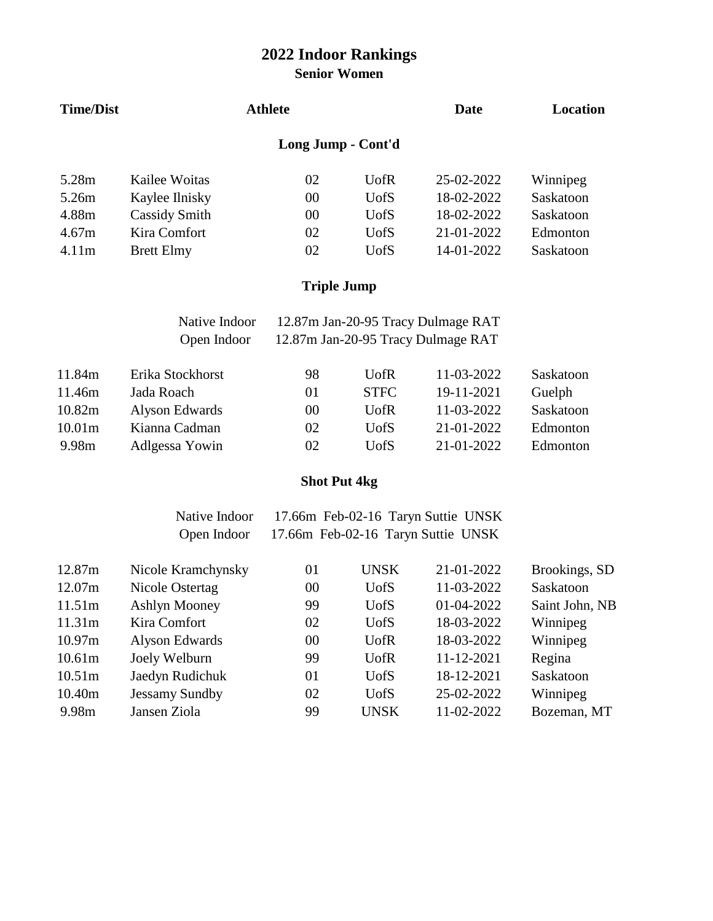**Senior Women**

| <b>Time/Dist</b>  |                      | <b>Athlete</b>     |             | <b>Date</b> | Location  |
|-------------------|----------------------|--------------------|-------------|-------------|-----------|
|                   |                      | Long Jump - Cont'd |             |             |           |
| 5.28m             | Kailee Woitas        | 02                 | <b>UofR</b> | 25-02-2022  | Winnipeg  |
| 5.26m             | Kaylee Ilnisky       | 00                 | <b>UofS</b> | 18-02-2022  | Saskatoon |
| 4.88m             | <b>Cassidy Smith</b> | 00                 | <b>UofS</b> | 18-02-2022  | Saskatoon |
| 4.67 <sub>m</sub> | Kira Comfort         | 02                 | <b>UofS</b> | 21-01-2022  | Edmonton  |
| 4.11m             | <b>Brett Elmy</b>    | 02                 | <b>UofS</b> | 14-01-2022  | Saskatoon |

# **Triple Jump**

| Native Indoor | 12.87m Jan-20-95 Tracy Dulmage RAT |
|---------------|------------------------------------|
| Open Indoor   | 12.87m Jan-20-95 Tracy Dulmage RAT |

| 11.84m             | Erika Stockhorst | 98      | UofR         | 11-03-2022       | Saskatoon |
|--------------------|------------------|---------|--------------|------------------|-----------|
| 11.46m             | Jada Roach       | $_{01}$ | <b>STFC</b>  | 19-11-2021       | Guelph    |
| 10.82m             | Alyson Edwards   | 00      | UofR         | 11-03-2022       | Saskatoon |
| 10.01 <sub>m</sub> | Kianna Cadman    | 02      | <b>U</b> ofS | $21 - 01 - 2022$ | Edmonton  |
| 9.98m              | Adlgessa Yowin   | 02      | <b>U</b> ofS | $21 - 01 - 2022$ | Edmonton  |

## **Shot Put 4kg**

| Native Indoor | 17.66m Feb-02-16 Taryn Suttie UNSK |  |
|---------------|------------------------------------|--|
| Open Indoor   | 17.66m Feb-02-16 Taryn Suttie UNSK |  |

| 12.87m | Nicole Kramchynsky    | 01 | <b>UNSK</b>  | 21-01-2022   | Brookings, SD  |
|--------|-----------------------|----|--------------|--------------|----------------|
| 12.07m | Nicole Ostertag       | 00 | <b>UofS</b>  | 11-03-2022   | Saskatoon      |
| 11.51m | <b>Ashlyn Mooney</b>  | 99 | <b>UofS</b>  | $01-04-2022$ | Saint John, NB |
| 11.31m | Kira Comfort          | 02 | <b>U</b> ofS | 18-03-2022   | Winnipeg       |
| 10.97m | Alyson Edwards        | 00 | <b>U</b> ofR | 18-03-2022   | Winnipeg       |
| 10.61m | Joely Welburn         | 99 | <b>U</b> ofR | 11-12-2021   | Regina         |
| 10.51m | Jaedyn Rudichuk       | 01 | <b>U</b> ofS | 18-12-2021   | Saskatoon      |
| 10.40m | <b>Jessamy Sundby</b> | 02 | <b>UofS</b>  | 25-02-2022   | Winnipeg       |
| 9.98m  | Jansen Ziola          | 99 | <b>UNSK</b>  | 11-02-2022   | Bozeman, MT    |